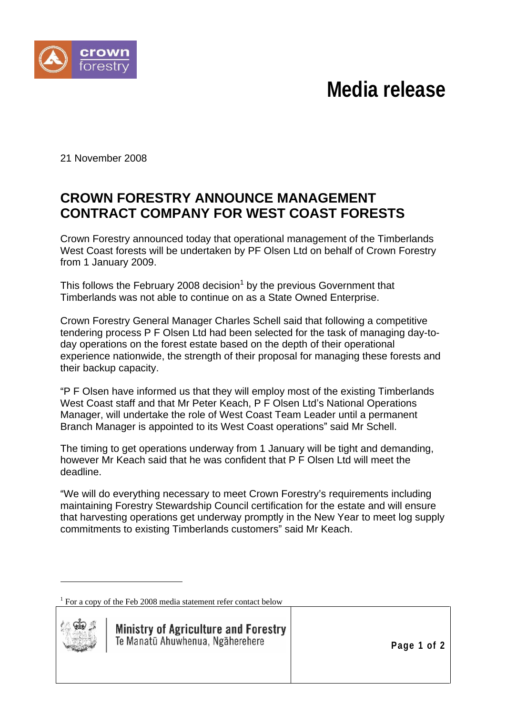## **Media release**



21 November 2008

## **CROWN FORESTRY ANNOUNCE MANAGEMENT CONTRACT COMPANY FOR WEST COAST FORESTS**

Crown Forestry announced today that operational management of the Timberlands West Coast forests will be undertaken by PF Olsen Ltd on behalf of Crown Forestry from 1 January 2009.

This follows the February 2008 decision $^{\rm 1}$  by the previous Government that Timberlands was not able to continue on as a State Owned Enterprise.

Crown Forestry General Manager Charles Schell said that following a competitive tendering process P F Olsen Ltd had been selected for the task of managing day-to day operations on the forest estate based on the depth of their operational experience nationwide, the strength of their proposal for managing these forests and their backup capacity.

P F Olsen have informed us that they will employ most of the existing Timberlands West Coast staff and that Mr Peter Keach, P F Olsen Ltd's National Operations Manager, will undertake the role of West Coast Team Leader until a permanent Branch Manager is appointed to its West Coast operations" said Mr Schell.

The timing to get operations underway from 1 January will be tight and demanding, however Mr Keach said that he was confident that P F Olsen Ltd will meet the deadline.

"We will do everything necessary to meet Crown Forestry's requirements including maintaining Forestry Stewardship Council certification for the estate and will ensure that harvesting operations get underway promptly in the New Year to meet log supply commitments to existing Timberlands customers" said Mr Keach.

<sup>&</sup>lt;sup>1</sup> For a copy of the Feb 2008 media statement refer contact below



**Ministry of Agriculture and Forestry** Te Manatū Ahuwhenua, Ngāherehere